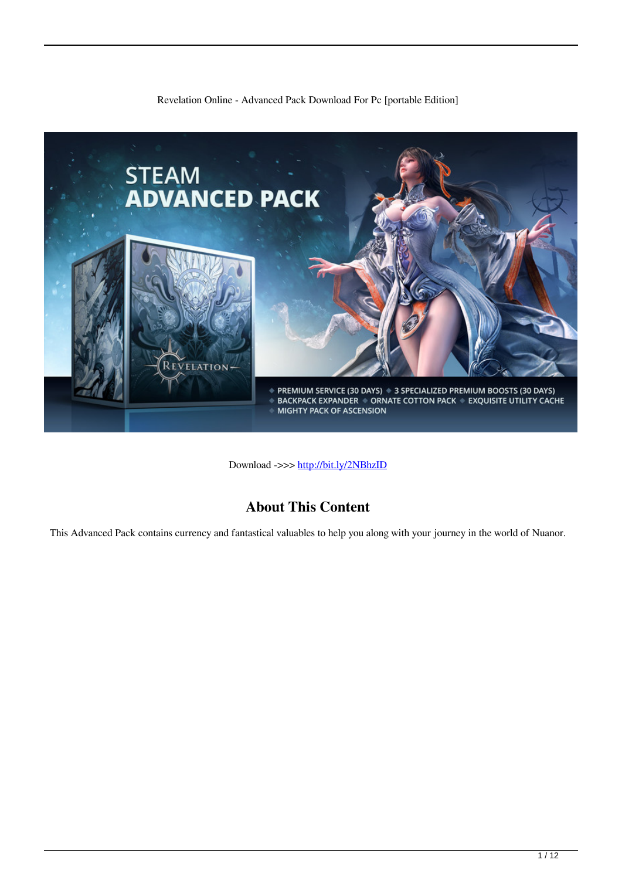#### Revelation Online - Advanced Pack Download For Pc [portable Edition]



Download ->>> <http://bit.ly/2NBhzID>

## **About This Content**

This Advanced Pack contains currency and fantastical valuables to help you along with your journey in the world of Nuanor.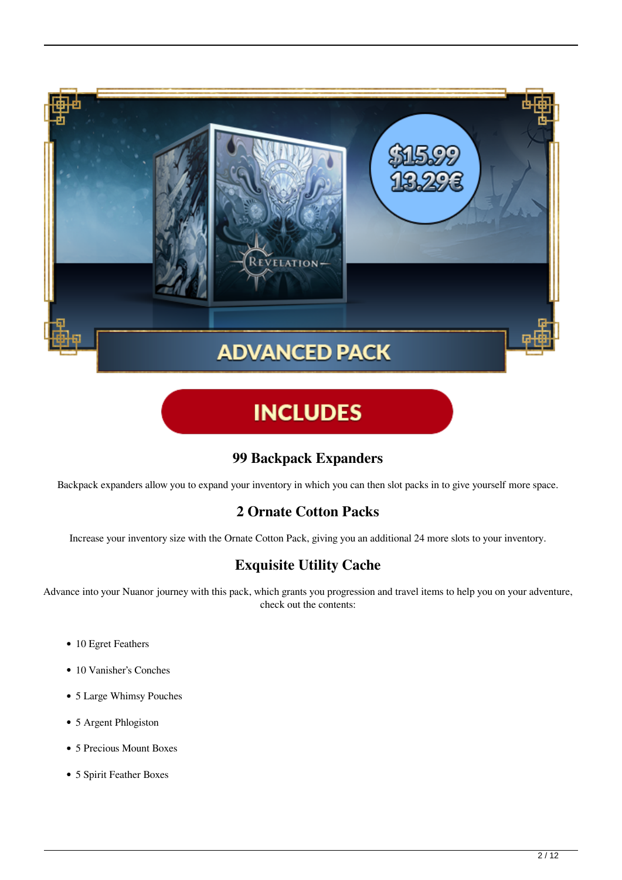

# **INCLUDES**

## **99 Backpack Expanders**

Backpack expanders allow you to expand your inventory in which you can then slot packs in to give yourself more space.

## **2 Ornate Cotton Packs**

Increase your inventory size with the Ornate Cotton Pack, giving you an additional 24 more slots to your inventory.

## **Exquisite Utility Cache**

Advance into your Nuanor journey with this pack, which grants you progression and travel items to help you on your adventure, check out the contents:

- 10 Egret Feathers
- 10 Vanisher's Conches
- 5 Large Whimsy Pouches
- 5 Argent Phlogiston
- 5 Precious Mount Boxes
- 5 Spirit Feather Boxes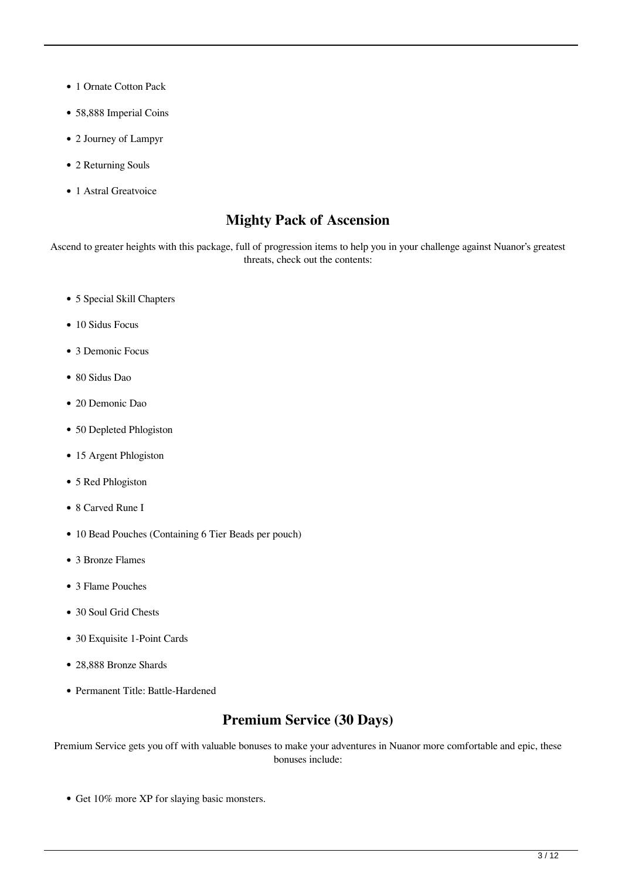- 1 Ornate Cotton Pack
- 58,888 Imperial Coins
- 2 Journey of Lampyr
- 2 Returning Souls
- 1 Astral Greatvoice

#### **Mighty Pack of Ascension**

Ascend to greater heights with this package, full of progression items to help you in your challenge against Nuanor's greatest threats, check out the contents:

- 5 Special Skill Chapters
- 10 Sidus Focus
- 3 Demonic Focus
- 80 Sidus Dao
- 20 Demonic Dao
- 50 Depleted Phlogiston
- 15 Argent Phlogiston
- 5 Red Phlogiston
- 8 Carved Rune I
- 10 Bead Pouches (Containing 6 Tier Beads per pouch)
- 3 Bronze Flames
- 3 Flame Pouches
- 30 Soul Grid Chests
- 30 Exquisite 1-Point Cards
- 28,888 Bronze Shards
- Permanent Title: Battle-Hardened

#### **Premium Service (30 Days)**

Premium Service gets you off with valuable bonuses to make your adventures in Nuanor more comfortable and epic, these bonuses include:

• Get 10% more XP for slaying basic monsters.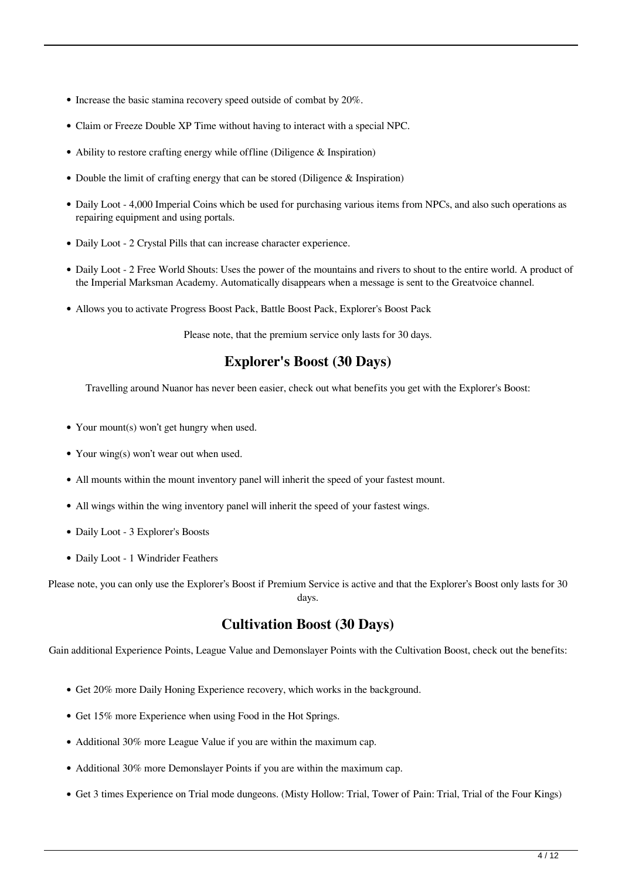- Increase the basic stamina recovery speed outside of combat by 20%.
- Claim or Freeze Double XP Time without having to interact with a special NPC.
- Ability to restore crafting energy while offline (Diligence  $\&$  Inspiration)
- Double the limit of crafting energy that can be stored (Diligence  $\&$  Inspiration)
- Daily Loot 4,000 Imperial Coins which be used for purchasing various items from NPCs, and also such operations as repairing equipment and using portals.
- Daily Loot 2 Crystal Pills that can increase character experience.
- Daily Loot 2 Free World Shouts: Uses the power of the mountains and rivers to shout to the entire world. A product of the Imperial Marksman Academy. Automatically disappears when a message is sent to the Greatvoice channel.
- Allows you to activate Progress Boost Pack, Battle Boost Pack, Explorer's Boost Pack

Please note, that the premium service only lasts for 30 days.

#### **Explorer's Boost (30 Days)**

Travelling around Nuanor has never been easier, check out what benefits you get with the Explorer's Boost:

- Your mount(s) won't get hungry when used.
- Your wing(s) won't wear out when used.
- All mounts within the mount inventory panel will inherit the speed of your fastest mount.
- All wings within the wing inventory panel will inherit the speed of your fastest wings.
- Daily Loot 3 Explorer's Boosts
- Daily Loot 1 Windrider Feathers

Please note, you can only use the Explorer's Boost if Premium Service is active and that the Explorer's Boost only lasts for 30 days.

#### **Cultivation Boost (30 Days)**

Gain additional Experience Points, League Value and Demonslayer Points with the Cultivation Boost, check out the benefits:

- Get 20% more Daily Honing Experience recovery, which works in the background.
- Get 15% more Experience when using Food in the Hot Springs.
- Additional 30% more League Value if you are within the maximum cap.
- Additional 30% more Demonslayer Points if you are within the maximum cap.
- Get 3 times Experience on Trial mode dungeons. (Misty Hollow: Trial, Tower of Pain: Trial, Trial of the Four Kings)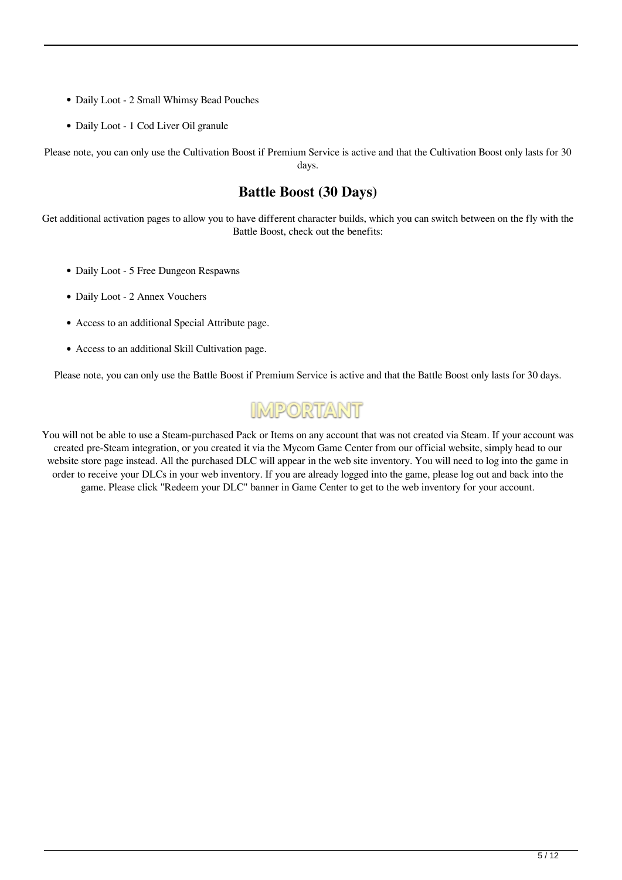- Daily Loot 2 Small Whimsy Bead Pouches
- Daily Loot 1 Cod Liver Oil granule

Please note, you can only use the Cultivation Boost if Premium Service is active and that the Cultivation Boost only lasts for 30 days.

#### **Battle Boost (30 Days)**

Get additional activation pages to allow you to have different character builds, which you can switch between on the fly with the Battle Boost, check out the benefits:

- Daily Loot 5 Free Dungeon Respawns
- Daily Loot 2 Annex Vouchers
- Access to an additional Special Attribute page.
- Access to an additional Skill Cultivation page.

Please note, you can only use the Battle Boost if Premium Service is active and that the Battle Boost only lasts for 30 days.

## **IMPORTANT**

You will not be able to use a Steam-purchased Pack or Items on any account that was not created via Steam. If your account was created pre-Steam integration, or you created it via the Mycom Game Center from our official website, simply head to our website store page instead. All the purchased DLC will appear in the web site inventory. You will need to log into the game in order to receive your DLCs in your web inventory. If you are already logged into the game, please log out and back into the game. Please click "Redeem your DLC" banner in Game Center to get to the web inventory for your account.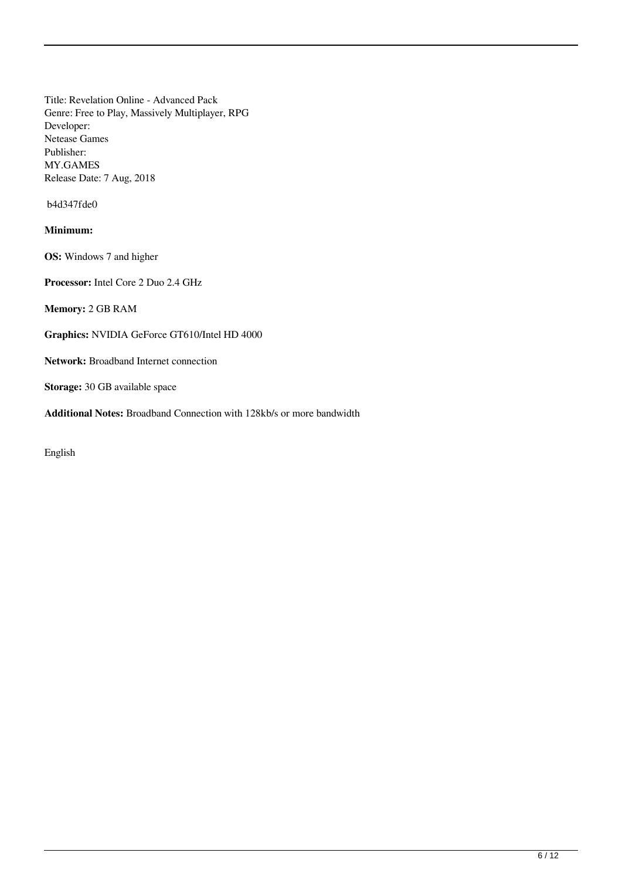Title: Revelation Online - Advanced Pack Genre: Free to Play, Massively Multiplayer, RPG Developer: Netease Games Publisher: MY.GAMES Release Date: 7 Aug, 2018

b4d347fde0

#### **Minimum:**

**OS:** Windows 7 and higher

**Processor:** Intel Core 2 Duo 2.4 GHz

**Memory:** 2 GB RAM

**Graphics:** NVIDIA GeForce GT610/Intel HD 4000

**Network:** Broadband Internet connection

**Storage:** 30 GB available space

**Additional Notes:** Broadband Connection with 128kb/s or more bandwidth

English